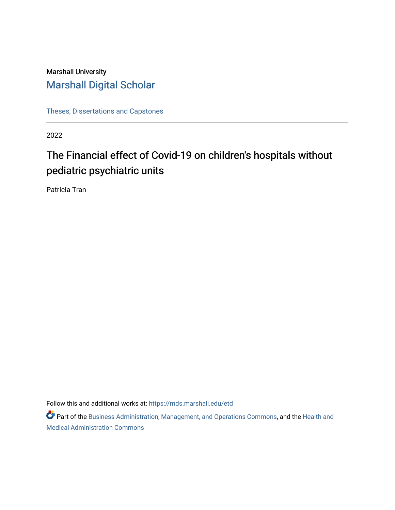# Marshall University [Marshall Digital Scholar](https://mds.marshall.edu/)

[Theses, Dissertations and Capstones](https://mds.marshall.edu/etd)

2022

# The Financial effect of Covid-19 on children's hospitals without pediatric psychiatric units

Patricia Tran

Follow this and additional works at: [https://mds.marshall.edu/etd](https://mds.marshall.edu/etd?utm_source=mds.marshall.edu%2Fetd%2F1425&utm_medium=PDF&utm_campaign=PDFCoverPages)

Part of the [Business Administration, Management, and Operations Commons](https://network.bepress.com/hgg/discipline/623?utm_source=mds.marshall.edu%2Fetd%2F1425&utm_medium=PDF&utm_campaign=PDFCoverPages), and the [Health and](https://network.bepress.com/hgg/discipline/663?utm_source=mds.marshall.edu%2Fetd%2F1425&utm_medium=PDF&utm_campaign=PDFCoverPages)  [Medical Administration Commons](https://network.bepress.com/hgg/discipline/663?utm_source=mds.marshall.edu%2Fetd%2F1425&utm_medium=PDF&utm_campaign=PDFCoverPages)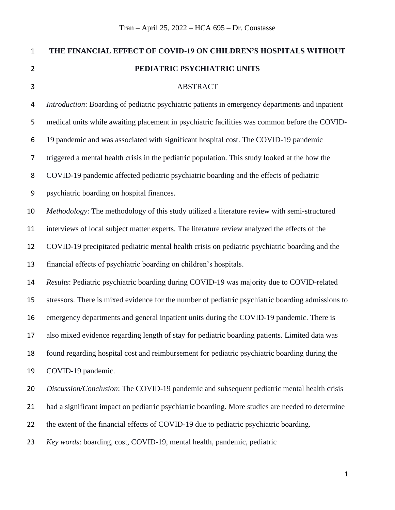| $\mathbf{1}$     | THE FINANCIAL EFFECT OF COVID-19 ON CHILDREN'S HOSPITALS WITHOUT                                  |
|------------------|---------------------------------------------------------------------------------------------------|
| $\overline{2}$   | PEDIATRIC PSYCHIATRIC UNITS                                                                       |
| 3                | <b>ABSTRACT</b>                                                                                   |
| 4                | Introduction: Boarding of pediatric psychiatric patients in emergency departments and inpatient   |
| 5                | medical units while awaiting placement in psychiatric facilities was common before the COVID-     |
| 6                | 19 pandemic and was associated with significant hospital cost. The COVID-19 pandemic              |
| 7                | triggered a mental health crisis in the pediatric population. This study looked at the how the    |
| 8                | COVID-19 pandemic affected pediatric psychiatric boarding and the effects of pediatric            |
| $\boldsymbol{9}$ | psychiatric boarding on hospital finances.                                                        |
| 10               | Methodology: The methodology of this study utilized a literature review with semi-structured      |
| 11               | interviews of local subject matter experts. The literature review analyzed the effects of the     |
| 12               | COVID-19 precipitated pediatric mental health crisis on pediatric psychiatric boarding and the    |
| 13               | financial effects of psychiatric boarding on children's hospitals.                                |
| 14               | Results: Pediatric psychiatric boarding during COVID-19 was majority due to COVID-related         |
| 15               | stressors. There is mixed evidence for the number of pediatric psychiatric boarding admissions to |
| 16               | emergency departments and general inpatient units during the COVID-19 pandemic. There is          |
| 17               | also mixed evidence regarding length of stay for pediatric boarding patients. Limited data was    |
| 18               | found regarding hospital cost and reimbursement for pediatric psychiatric boarding during the     |
| 19               | COVID-19 pandemic.                                                                                |
| 20               | Discussion/Conclusion: The COVID-19 pandemic and subsequent pediatric mental health crisis        |
| 21               | had a significant impact on pediatric psychiatric boarding. More studies are needed to determine  |
| 22               | the extent of the financial effects of COVID-19 due to pediatric psychiatric boarding.            |
| 23               | Key words: boarding, cost, COVID-19, mental health, pandemic, pediatric                           |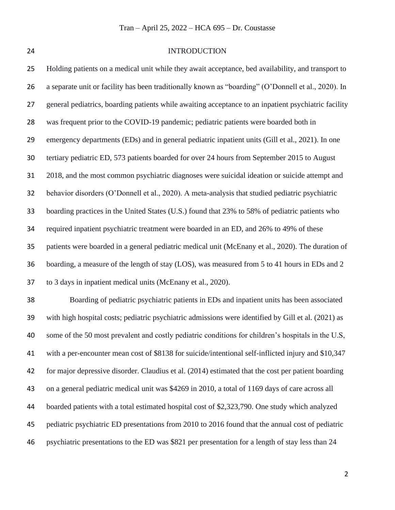#### INTRODUCTION

 Holding patients on a medical unit while they await acceptance, bed availability, and transport to a separate unit or facility has been traditionally known as "boarding" (O'Donnell et al., 2020). In general pediatrics, boarding patients while awaiting acceptance to an inpatient psychiatric facility was frequent prior to the COVID-19 pandemic; pediatric patients were boarded both in emergency departments (EDs) and in general pediatric inpatient units (Gill et al., 2021). In one tertiary pediatric ED, 573 patients boarded for over 24 hours from September 2015 to August 2018, and the most common psychiatric diagnoses were suicidal ideation or suicide attempt and behavior disorders (O'Donnell et al., 2020). A meta-analysis that studied pediatric psychiatric boarding practices in the United States (U.S.) found that 23% to 58% of pediatric patients who required inpatient psychiatric treatment were boarded in an ED, and 26% to 49% of these patients were boarded in a general pediatric medical unit (McEnany et al., 2020). The duration of boarding, a measure of the length of stay (LOS), was measured from 5 to 41 hours in EDs and 2 to 3 days in inpatient medical units (McEnany et al., 2020). Boarding of pediatric psychiatric patients in EDs and inpatient units has been associated with high hospital costs; pediatric psychiatric admissions were identified by Gill et al. (2021) as some of the 50 most prevalent and costly pediatric conditions for children's hospitals in the U.S, with a per-encounter mean cost of \$8138 for suicide/intentional self-inflicted injury and \$10,347 for major depressive disorder. Claudius et al. (2014) estimated that the cost per patient boarding on a general pediatric medical unit was \$4269 in 2010, a total of 1169 days of care across all boarded patients with a total estimated hospital cost of \$2,323,790. One study which analyzed pediatric psychiatric ED presentations from 2010 to 2016 found that the annual cost of pediatric psychiatric presentations to the ED was \$821 per presentation for a length of stay less than 24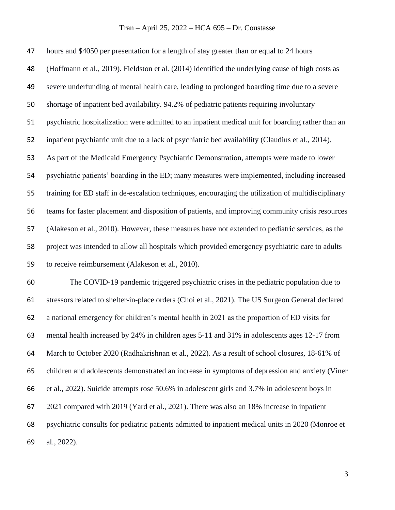hours and \$4050 per presentation for a length of stay greater than or equal to 24 hours (Hoffmann et al., 2019). Fieldston et al. (2014) identified the underlying cause of high costs as severe underfunding of mental health care, leading to prolonged boarding time due to a severe shortage of inpatient bed availability. 94.2% of pediatric patients requiring involuntary psychiatric hospitalization were admitted to an inpatient medical unit for boarding rather than an inpatient psychiatric unit due to a lack of psychiatric bed availability (Claudius et al., 2014). As part of the Medicaid Emergency Psychiatric Demonstration, attempts were made to lower psychiatric patients' boarding in the ED; many measures were implemented, including increased training for ED staff in de-escalation techniques, encouraging the utilization of multidisciplinary teams for faster placement and disposition of patients, and improving community crisis resources (Alakeson et al., 2010). However, these measures have not extended to pediatric services, as the project was intended to allow all hospitals which provided emergency psychiatric care to adults to receive reimbursement (Alakeson et al., 2010). The COVID-19 pandemic triggered psychiatric crises in the pediatric population due to stressors related to shelter-in-place orders (Choi et al., 2021). The US Surgeon General declared a national emergency for children's mental health in 2021 as the proportion of ED visits for mental health increased by 24% in children ages 5-11 and 31% in adolescents ages 12-17 from March to October 2020 (Radhakrishnan et al., 2022). As a result of school closures, 18-61% of

children and adolescents demonstrated an increase in symptoms of depression and anxiety (Viner

et al., 2022). Suicide attempts rose 50.6% in adolescent girls and 3.7% in adolescent boys in

2021 compared with 2019 (Yard et al., 2021). There was also an 18% increase in inpatient

 psychiatric consults for pediatric patients admitted to inpatient medical units in 2020 (Monroe et al., 2022).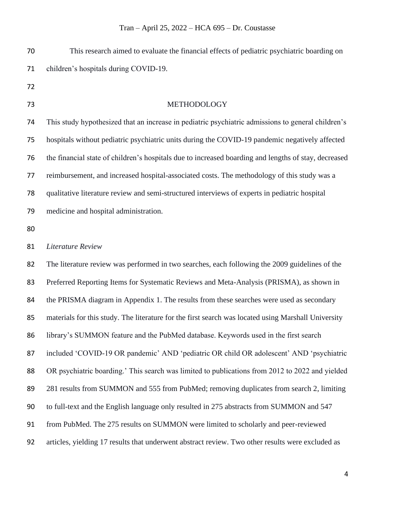| 70 | This research aimed to evaluate the financial effects of pediatric psychiatric boarding on           |
|----|------------------------------------------------------------------------------------------------------|
| 71 | children's hospitals during COVID-19.                                                                |
| 72 |                                                                                                      |
| 73 | METHODOLOGY                                                                                          |
| 74 | This study hypothesized that an increase in pediatric psychiatric admissions to general children's   |
| 75 | hospitals without pediatric psychiatric units during the COVID-19 pandemic negatively affected       |
| 76 | the financial state of children's hospitals due to increased boarding and lengths of stay, decreased |
| 77 | reimbursement, and increased hospital-associated costs. The methodology of this study was a          |
| 78 | qualitative literature review and semi-structured interviews of experts in pediatric hospital        |
| 79 | medicine and hospital administration.                                                                |
| 80 |                                                                                                      |
| 81 | Literature Review                                                                                    |
| 82 | The literature review was performed in two searches, each following the 2009 guidelines of the       |
| 83 | Preferred Reporting Items for Systematic Reviews and Meta-Analysis (PRISMA), as shown in             |
| 84 | the PRISMA diagram in Appendix 1. The results from these searches were used as secondary             |
| 85 | materials for this study. The literature for the first search was located using Marshall University  |
| 86 | library's SUMMON feature and the PubMed database. Keywords used in the first search                  |
| 87 | included 'COVID-19 OR pandemic' AND 'pediatric OR child OR adolescent' AND 'psychiatric              |
| 88 | OR psychiatric boarding.' This search was limited to publications from 2012 to 2022 and yielded      |
| 89 | 281 results from SUMMON and 555 from PubMed; removing duplicates from search 2, limiting             |
| 90 | to full-text and the English language only resulted in 275 abstracts from SUMMON and 547             |
| 91 | from PubMed. The 275 results on SUMMON were limited to scholarly and peer-reviewed                   |
| 92 | articles, yielding 17 results that underwent abstract review. Two other results were excluded as     |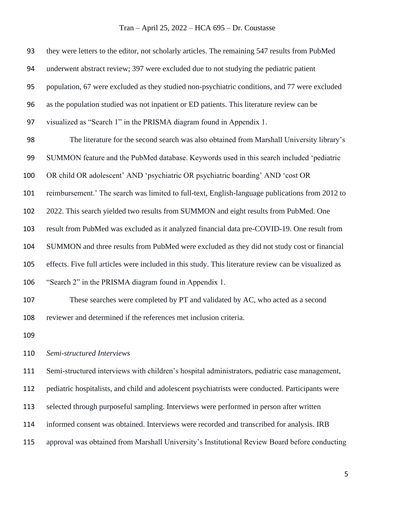| 93  | they were letters to the editor, not scholarly articles. The remaining 547 results from PubMed       |
|-----|------------------------------------------------------------------------------------------------------|
| 94  | underwent abstract review; 397 were excluded due to not studying the pediatric patient               |
| 95  | population, 67 were excluded as they studied non-psychiatric conditions, and 77 were excluded        |
| 96  | as the population studied was not inpatient or ED patients. This literature review can be            |
| 97  | visualized as "Search 1" in the PRISMA diagram found in Appendix 1.                                  |
| 98  | The literature for the second search was also obtained from Marshall University library's            |
| 99  | SUMMON feature and the PubMed database. Keywords used in this search included 'pediatric             |
| 100 | OR child OR adolescent' AND 'psychiatric OR psychiatric boarding' AND 'cost OR                       |
| 101 | reimbursement.' The search was limited to full-text, English-language publications from 2012 to      |
| 102 | 2022. This search yielded two results from SUMMON and eight results from PubMed. One                 |
| 103 | result from PubMed was excluded as it analyzed financial data pre-COVID-19. One result from          |
| 104 | SUMMON and three results from PubMed were excluded as they did not study cost or financial           |
| 105 | effects. Five full articles were included in this study. This literature review can be visualized as |
| 106 | "Search 2" in the PRISMA diagram found in Appendix 1.                                                |
| 107 | These searches were completed by PT and validated by AC, who acted as a second                       |
| 108 | reviewer and determined if the references met inclusion criteria.                                    |
| 109 |                                                                                                      |
| 110 | Semi-structured Interviews                                                                           |
| 111 | Semi-structured interviews with children's hospital administrators, pediatric case management,       |
| 112 | pediatric hospitalists, and child and adolescent psychiatrists were conducted. Participants were     |
| 113 | selected through purposeful sampling. Interviews were performed in person after written              |
| 114 | informed consent was obtained. Interviews were recorded and transcribed for analysis. IRB            |
| 115 | approval was obtained from Marshall University's Institutional Review Board before conducting        |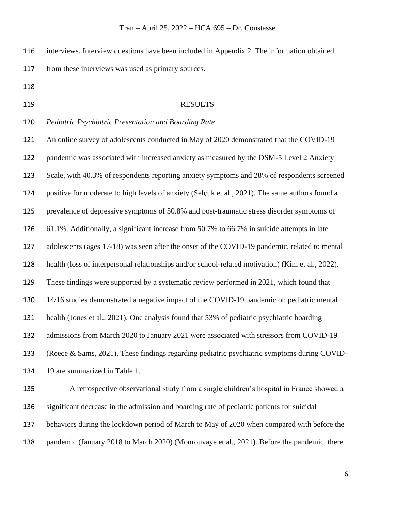interviews. Interview questions have been included in Appendix 2. The information obtained from these interviews was used as primary sources.

- 
- 

#### 119 RESULTS

*Pediatric Psychiatric Presentation and Boarding Rate*

 An online survey of adolescents conducted in May of 2020 demonstrated that the COVID-19 pandemic was associated with increased anxiety as measured by the DSM-5 Level 2 Anxiety Scale, with 40.3% of respondents reporting anxiety symptoms and 28% of respondents screened positive for moderate to high levels of anxiety (Selçuk et al., 2021). The same authors found a prevalence of depressive symptoms of 50.8% and post-traumatic stress disorder symptoms of 61.1%. Additionally, a significant increase from 50.7% to 66.7% in suicide attempts in late adolescents (ages 17-18) was seen after the onset of the COVID-19 pandemic, related to mental health (loss of interpersonal relationships and/or school-related motivation) (Kim et al., 2022). These findings were supported by a systematic review performed in 2021, which found that 14/16 studies demonstrated a negative impact of the COVID-19 pandemic on pediatric mental health (Jones et al., 2021). One analysis found that 53% of pediatric psychiatric boarding admissions from March 2020 to January 2021 were associated with stressors from COVID-19 (Reece & Sams, 2021). These findings regarding pediatric psychiatric symptoms during COVID-134 19 are summarized in Table 1.

 A retrospective observational study from a single children's hospital in France showed a significant decrease in the admission and boarding rate of pediatric patients for suicidal behaviors during the lockdown period of March to May of 2020 when compared with before the pandemic (January 2018 to March 2020) (Mourouvaye et al., 2021). Before the pandemic, there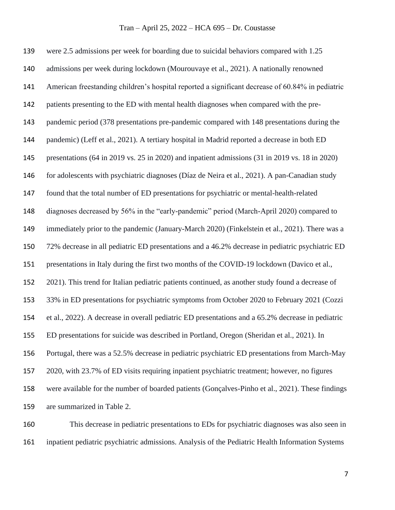were 2.5 admissions per week for boarding due to suicidal behaviors compared with 1.25 admissions per week during lockdown (Mourouvaye et al., 2021). A nationally renowned American freestanding children's hospital reported a significant decrease of 60.84% in pediatric patients presenting to the ED with mental health diagnoses when compared with the pre- pandemic period (378 presentations pre-pandemic compared with 148 presentations during the pandemic) (Leff et al., 2021). A tertiary hospital in Madrid reported a decrease in both ED presentations (64 in 2019 vs. 25 in 2020) and inpatient admissions (31 in 2019 vs. 18 in 2020) for adolescents with psychiatric diagnoses (Díaz de Neira et al., 2021). A pan-Canadian study found that the total number of ED presentations for psychiatric or mental-health-related diagnoses decreased by 56% in the "early-pandemic" period (March-April 2020) compared to immediately prior to the pandemic (January-March 2020) (Finkelstein et al., 2021). There was a 72% decrease in all pediatric ED presentations and a 46.2% decrease in pediatric psychiatric ED presentations in Italy during the first two months of the COVID-19 lockdown (Davico et al., 2021). This trend for Italian pediatric patients continued, as another study found a decrease of 33% in ED presentations for psychiatric symptoms from October 2020 to February 2021 (Cozzi et al., 2022). A decrease in overall pediatric ED presentations and a 65.2% decrease in pediatric ED presentations for suicide was described in Portland, Oregon (Sheridan et al., 2021). In Portugal, there was a 52.5% decrease in pediatric psychiatric ED presentations from March-May 2020, with 23.7% of ED visits requiring inpatient psychiatric treatment; however, no figures were available for the number of boarded patients (Gonçalves-Pinho et al., 2021). These findings are summarized in Table 2.

 This decrease in pediatric presentations to EDs for psychiatric diagnoses was also seen in inpatient pediatric psychiatric admissions. Analysis of the Pediatric Health Information Systems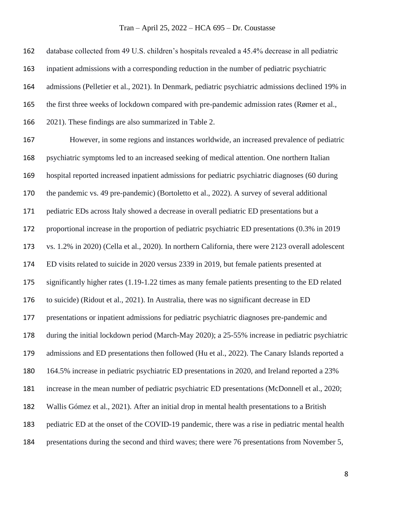database collected from 49 U.S. children's hospitals revealed a 45.4% decrease in all pediatric inpatient admissions with a corresponding reduction in the number of pediatric psychiatric admissions (Pelletier et al., 2021). In Denmark, pediatric psychiatric admissions declined 19% in the first three weeks of lockdown compared with pre-pandemic admission rates (Rømer et al., 2021). These findings are also summarized in Table 2. However, in some regions and instances worldwide, an increased prevalence of pediatric psychiatric symptoms led to an increased seeking of medical attention. One northern Italian hospital reported increased inpatient admissions for pediatric psychiatric diagnoses (60 during the pandemic vs. 49 pre-pandemic) (Bortoletto et al., 2022). A survey of several additional pediatric EDs across Italy showed a decrease in overall pediatric ED presentations but a proportional increase in the proportion of pediatric psychiatric ED presentations (0.3% in 2019 vs. 1.2% in 2020) (Cella et al., 2020). In northern California, there were 2123 overall adolescent ED visits related to suicide in 2020 versus 2339 in 2019, but female patients presented at significantly higher rates (1.19-1.22 times as many female patients presenting to the ED related to suicide) (Ridout et al., 2021). In Australia, there was no significant decrease in ED presentations or inpatient admissions for pediatric psychiatric diagnoses pre-pandemic and during the initial lockdown period (March-May 2020); a 25-55% increase in pediatric psychiatric admissions and ED presentations then followed (Hu et al., 2022). The Canary Islands reported a 164.5% increase in pediatric psychiatric ED presentations in 2020, and Ireland reported a 23% increase in the mean number of pediatric psychiatric ED presentations (McDonnell et al., 2020; Wallis Gómez et al., 2021). After an initial drop in mental health presentations to a British pediatric ED at the onset of the COVID-19 pandemic, there was a rise in pediatric mental health presentations during the second and third waves; there were 76 presentations from November 5,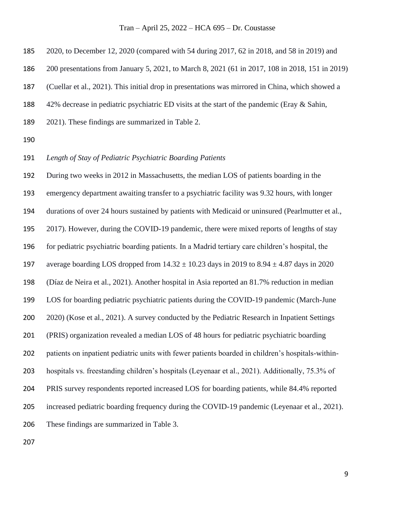2020, to December 12, 2020 (compared with 54 during 2017, 62 in 2018, and 58 in 2019) and

200 presentations from January 5, 2021, to March 8, 2021 (61 in 2017, 108 in 2018, 151 in 2019)

(Cuellar et al., 2021). This initial drop in presentations was mirrored in China, which showed a

42% decrease in pediatric psychiatric ED visits at the start of the pandemic (Eray & Sahin,

- 2021). These findings are summarized in Table 2.
- 

*Length of Stay of Pediatric Psychiatric Boarding Patients*

 During two weeks in 2012 in Massachusetts, the median LOS of patients boarding in the emergency department awaiting transfer to a psychiatric facility was 9.32 hours, with longer durations of over 24 hours sustained by patients with Medicaid or uninsured (Pearlmutter et al., 2017). However, during the COVID-19 pandemic, there were mixed reports of lengths of stay for pediatric psychiatric boarding patients. In a Madrid tertiary care children's hospital, the 197 average boarding LOS dropped from  $14.32 \pm 10.23$  days in 2019 to  $8.94 \pm 4.87$  days in 2020 (Díaz de Neira et al., 2021). Another hospital in Asia reported an 81.7% reduction in median LOS for boarding pediatric psychiatric patients during the COVID-19 pandemic (March-June 2020) (Kose et al., 2021). A survey conducted by the Pediatric Research in Inpatient Settings (PRIS) organization revealed a median LOS of 48 hours for pediatric psychiatric boarding patients on inpatient pediatric units with fewer patients boarded in children's hospitals-within- hospitals vs. freestanding children's hospitals (Leyenaar et al., 2021). Additionally, 75.3% of PRIS survey respondents reported increased LOS for boarding patients, while 84.4% reported increased pediatric boarding frequency during the COVID-19 pandemic (Leyenaar et al., 2021). These findings are summarized in Table 3.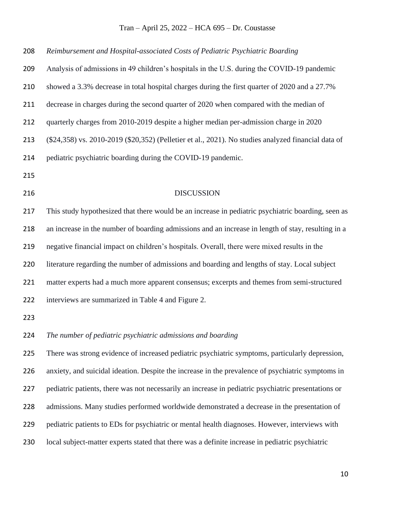| 208 | Reimbursement and Hospital-associated Costs of Pediatric Psychiatric Boarding                       |
|-----|-----------------------------------------------------------------------------------------------------|
| 209 | Analysis of admissions in 49 children's hospitals in the U.S. during the COVID-19 pandemic          |
| 210 | showed a 3.3% decrease in total hospital charges during the first quarter of 2020 and a 27.7%       |
| 211 | decrease in charges during the second quarter of 2020 when compared with the median of              |
| 212 | quarterly charges from 2010-2019 despite a higher median per-admission charge in 2020               |
| 213 | (\$24,358) vs. 2010-2019 (\$20,352) (Pelletier et al., 2021). No studies analyzed financial data of |
| 214 | pediatric psychiatric boarding during the COVID-19 pandemic.                                        |
| 215 |                                                                                                     |
| 216 | <b>DISCUSSION</b>                                                                                   |
| 217 | This study hypothesized that there would be an increase in pediatric psychiatric boarding, seen as  |
| 218 | an increase in the number of boarding admissions and an increase in length of stay, resulting in a  |
| 219 | negative financial impact on children's hospitals. Overall, there were mixed results in the         |
| 220 | literature regarding the number of admissions and boarding and lengths of stay. Local subject       |
| 221 | matter experts had a much more apparent consensus; excerpts and themes from semi-structured         |
| 222 | interviews are summarized in Table 4 and Figure 2.                                                  |
| 223 |                                                                                                     |
| 224 | The number of pediatric psychiatric admissions and boarding                                         |
| 225 | There was strong evidence of increased pediatric psychiatric symptoms, particularly depression,     |
| 226 | anxiety, and suicidal ideation. Despite the increase in the prevalence of psychiatric symptoms in   |
| 227 | pediatric patients, there was not necessarily an increase in pediatric psychiatric presentations or |
| 228 | admissions. Many studies performed worldwide demonstrated a decrease in the presentation of         |
| 229 | pediatric patients to EDs for psychiatric or mental health diagnoses. However, interviews with      |
| 230 | local subject-matter experts stated that there was a definite increase in pediatric psychiatric     |
|     |                                                                                                     |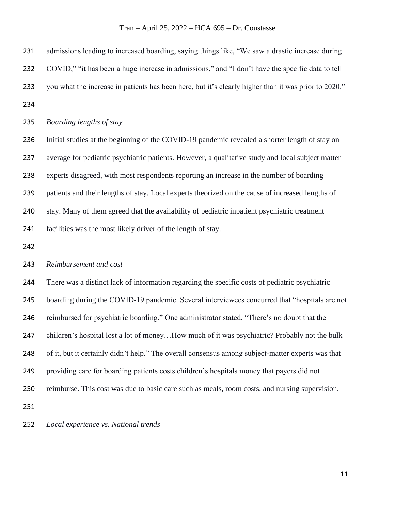admissions leading to increased boarding, saying things like, "We saw a drastic increase during 232 COVID," "it has been a huge increase in admissions," and "I don't have the specific data to tell you what the increase in patients has been here, but it's clearly higher than it was prior to 2020." *Boarding lengths of stay* Initial studies at the beginning of the COVID-19 pandemic revealed a shorter length of stay on average for pediatric psychiatric patients. However, a qualitative study and local subject matter experts disagreed, with most respondents reporting an increase in the number of boarding patients and their lengths of stay. Local experts theorized on the cause of increased lengths of stay. Many of them agreed that the availability of pediatric inpatient psychiatric treatment

facilities was the most likely driver of the length of stay.

#### *Reimbursement and cost*

 There was a distinct lack of information regarding the specific costs of pediatric psychiatric boarding during the COVID-19 pandemic. Several interviewees concurred that "hospitals are not reimbursed for psychiatric boarding." One administrator stated, "There's no doubt that the children's hospital lost a lot of money…How much of it was psychiatric? Probably not the bulk of it, but it certainly didn't help." The overall consensus among subject-matter experts was that providing care for boarding patients costs children's hospitals money that payers did not reimburse. This cost was due to basic care such as meals, room costs, and nursing supervision. 

*Local experience vs. National trends*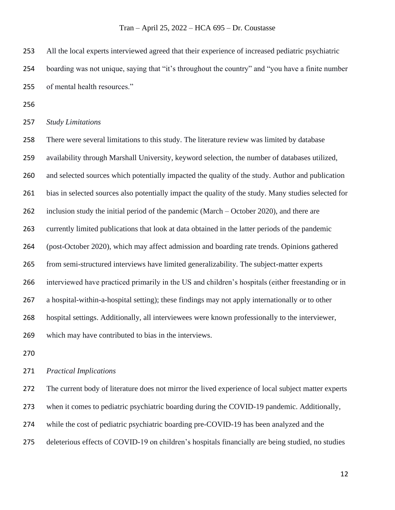All the local experts interviewed agreed that their experience of increased pediatric psychiatric boarding was not unique, saying that "it's throughout the country" and "you have a finite number of mental health resources."

*Study Limitations*

 There were several limitations to this study. The literature review was limited by database availability through Marshall University, keyword selection, the number of databases utilized, and selected sources which potentially impacted the quality of the study. Author and publication bias in selected sources also potentially impact the quality of the study. Many studies selected for inclusion study the initial period of the pandemic (March – October 2020), and there are currently limited publications that look at data obtained in the latter periods of the pandemic (post-October 2020), which may affect admission and boarding rate trends. Opinions gathered from semi-structured interviews have limited generalizability. The subject-matter experts interviewed have practiced primarily in the US and children's hospitals (either freestanding or in a hospital-within-a-hospital setting); these findings may not apply internationally or to other hospital settings. Additionally, all interviewees were known professionally to the interviewer, which may have contributed to bias in the interviews.

#### *Practical Implications*

 The current body of literature does not mirror the lived experience of local subject matter experts when it comes to pediatric psychiatric boarding during the COVID-19 pandemic. Additionally,

while the cost of pediatric psychiatric boarding pre-COVID-19 has been analyzed and the

deleterious effects of COVID-19 on children's hospitals financially are being studied, no studies